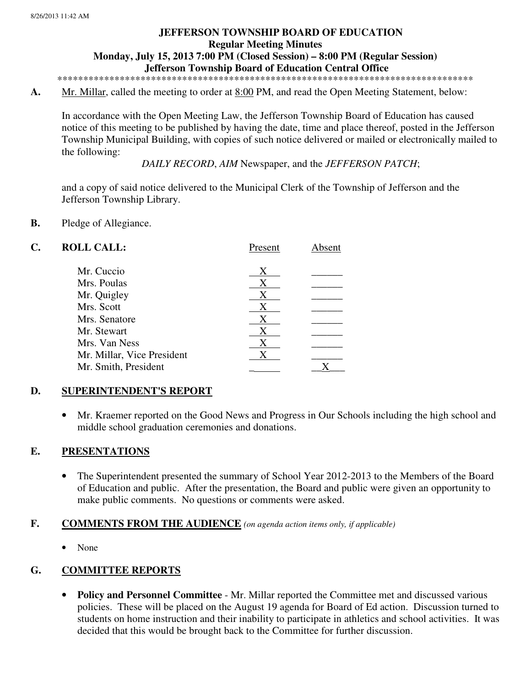# **JEFFERSON TOWNSHIP BOARD OF EDUCATION Regular Meeting Minutes Monday, July 15, 2013 7:00 PM (Closed Session) – 8:00 PM (Regular Session) Jefferson Township Board of Education Central Office**

\*\*\*\*\*\*\*\*\*\*\*\*\*\*\*\*\*\*\*\*\*\*\*\*\*\*\*\*\*\*\*\*\*\*\*\*\*\*\*\*\*\*\*\*\*\*\*\*\*\*\*\*\*\*\*\*\*\*\*\*\*\*\*\*\*\*\*\*\*\*\*\*\*\*\*\*\*\*\*\*

**A.** Mr. Millar, called the meeting to order at 8:00 PM, and read the Open Meeting Statement, below:

In accordance with the Open Meeting Law, the Jefferson Township Board of Education has caused notice of this meeting to be published by having the date, time and place thereof, posted in the Jefferson Township Municipal Building, with copies of such notice delivered or mailed or electronically mailed to the following:

*DAILY RECORD*, *AIM* Newspaper, and the *JEFFERSON PATCH*;

and a copy of said notice delivered to the Municipal Clerk of the Township of Jefferson and the Jefferson Township Library.

### **B.** Pledge of Allegiance.

| C. | <b>ROLL CALL:</b>          | Present | Absent |
|----|----------------------------|---------|--------|
|    | Mr. Cuccio                 | Х       |        |
|    | Mrs. Poulas                | X       |        |
|    | Mr. Quigley                | Χ       |        |
|    | Mrs. Scott                 | X       |        |
|    | Mrs. Senatore              | X       |        |
|    | Mr. Stewart                | Χ       |        |
|    | Mrs. Van Ness              | X       |        |
|    | Mr. Millar, Vice President |         |        |
|    | Mr. Smith, President       |         |        |
|    |                            |         |        |

## **D. SUPERINTENDENT'S REPORT**

• Mr. Kraemer reported on the Good News and Progress in Our Schools including the high school and middle school graduation ceremonies and donations.

### **E. PRESENTATIONS**

• The Superintendent presented the summary of School Year 2012-2013 to the Members of the Board of Education and public. After the presentation, the Board and public were given an opportunity to make public comments. No questions or comments were asked.

### **F. COMMENTS FROM THE AUDIENCE** *(on agenda action items only, if applicable)*

• None

# **G. COMMITTEE REPORTS**

• **Policy and Personnel Committee** - Mr. Millar reported the Committee met and discussed various policies. These will be placed on the August 19 agenda for Board of Ed action. Discussion turned to students on home instruction and their inability to participate in athletics and school activities. It was decided that this would be brought back to the Committee for further discussion.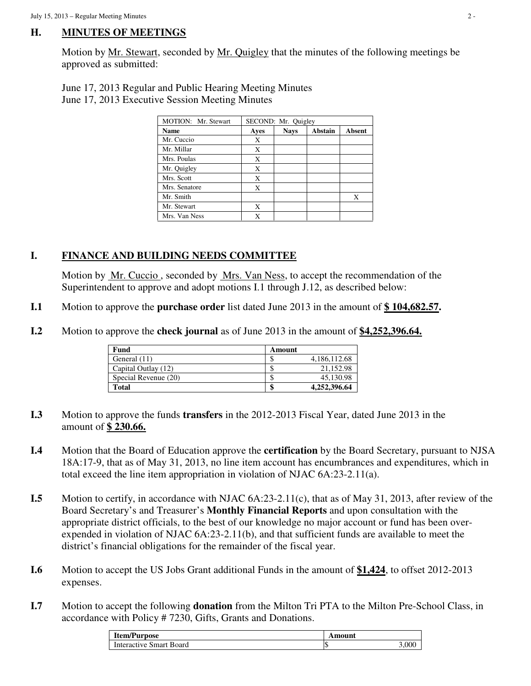## **H. MINUTES OF MEETINGS**

 Motion by Mr. Stewart, seconded by Mr. Quigley that the minutes of the following meetings be approved as submitted:

 June 17, 2013 Regular and Public Hearing Meeting Minutes June 17, 2013 Executive Session Meeting Minutes

| MOTION: Mr. Stewart | SECOND: Mr. Quigley |             |                |               |
|---------------------|---------------------|-------------|----------------|---------------|
| <b>Name</b>         | Ayes                | <b>Nays</b> | <b>Abstain</b> | <b>Absent</b> |
| Mr. Cuccio          | X                   |             |                |               |
| Mr. Millar          | X                   |             |                |               |
| Mrs. Poulas         | Х                   |             |                |               |
| Mr. Quigley         | X                   |             |                |               |
| Mrs. Scott          | X                   |             |                |               |
| Mrs. Senatore       | X                   |             |                |               |
| Mr. Smith           |                     |             |                | Х             |
| Mr. Stewart         | X                   |             |                |               |
| Mrs. Van Ness       | Х                   |             |                |               |

## **I. FINANCE AND BUILDING NEEDS COMMITTEE**

Motion by <u>Mr. Cuccio</u>, seconded by <u>Mrs. Van Ness</u>, to accept the recommendation of the Superintendent to approve and adopt motions I.1 through J.12, as described below:

- **I.1** Motion to approve the **purchase order** list dated June 2013 in the amount of **\$ 104,682.57.**
- **I.2** Motion to approve the **check journal** as of June 2013 in the amount of \$4,252,396.64.

| Fund                 | Amount |              |
|----------------------|--------|--------------|
| General (11)         | ۰υ     | 4,186,112.68 |
| Capital Outlay (12)  | ۰υ     | 21.152.98    |
| Special Revenue (20) | ۰D     | 45,130.98    |
| Total                | Э      | 4,252,396.64 |

- **I.3** Motion to approve the funds **transfers** in the 2012-2013 Fiscal Year, dated June 2013 in the amount of **\$ 230.66.**
- **I.4** Motion that the Board of Education approve the **certification** by the Board Secretary, pursuant to NJSA 18A:17-9, that as of May 31, 2013, no line item account has encumbrances and expenditures, which in total exceed the line item appropriation in violation of NJAC 6A:23-2.11(a).
- **I.5** Motion to certify, in accordance with NJAC 6A:23-2.11(c), that as of May 31, 2013, after review of the Board Secretary's and Treasurer's **Monthly Financial Reports** and upon consultation with the appropriate district officials, to the best of our knowledge no major account or fund has been overexpended in violation of NJAC 6A:23-2.11(b), and that sufficient funds are available to meet the district's financial obligations for the remainder of the fiscal year.
- **I.6** Motion to accept the US Jobs Grant additional Funds in the amount of **\$1,424**, to offset 2012-2013 expenses.
- **I.7** Motion to accept the following **donation** from the Milton Tri PTA to the Milton Pre-School Class, in accordance with Policy # 7230, Gifts, Grants and Donations.

| <b>Item/Purpose</b>     | mount |    |
|-------------------------|-------|----|
| Interactive Smart Board | ΙU    | ΩÛ |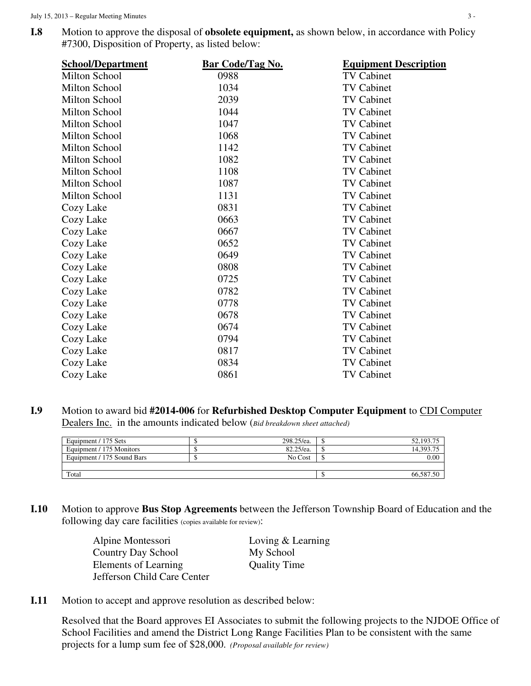**I.8** Motion to approve the disposal of **obsolete equipment**, as shown below, in accordance with Policy #7300, Disposition of Property, as listed below:

| <b>Bar Code/Tag No.</b> | <b>Equipment Description</b> |
|-------------------------|------------------------------|
| 0988                    | <b>TV Cabinet</b>            |
| 1034                    | <b>TV Cabinet</b>            |
| 2039                    | <b>TV Cabinet</b>            |
| 1044                    | <b>TV Cabinet</b>            |
| 1047                    | <b>TV Cabinet</b>            |
| 1068                    | <b>TV Cabinet</b>            |
| 1142                    | <b>TV Cabinet</b>            |
| 1082                    | <b>TV Cabinet</b>            |
| 1108                    | <b>TV Cabinet</b>            |
| 1087                    | <b>TV Cabinet</b>            |
| 1131                    | <b>TV Cabinet</b>            |
| 0831                    | <b>TV Cabinet</b>            |
| 0663                    | <b>TV Cabinet</b>            |
| 0667                    | <b>TV Cabinet</b>            |
| 0652                    | <b>TV Cabinet</b>            |
| 0649                    | <b>TV Cabinet</b>            |
| 0808                    | <b>TV Cabinet</b>            |
| 0725                    | <b>TV Cabinet</b>            |
| 0782                    | <b>TV Cabinet</b>            |
| 0778                    | <b>TV Cabinet</b>            |
| 0678                    | <b>TV Cabinet</b>            |
| 0674                    | <b>TV Cabinet</b>            |
| 0794                    | <b>TV Cabinet</b>            |
| 0817                    | <b>TV Cabinet</b>            |
| 0834                    | <b>TV Cabinet</b>            |
| 0861                    | <b>TV Cabinet</b>            |
|                         |                              |

**I.9** Motion to award bid **#2014-006** for **Refurbished Desktop Computer Equipment** to CDI Computer Dealers Inc. in the amounts indicated below (*Bid breakdown sheet attached)* 

| Equipment / 175 Sets       | 298.25/ea. | 52,193.75                                   |
|----------------------------|------------|---------------------------------------------|
| Equipment / 175 Monitors   | 82.25/ea.  | $14.393.7$ <sup><math>\epsilon</math></sup> |
| Equipment / 175 Sound Bars | No Cost    | 0.00                                        |
|                            |            |                                             |
| Total                      |            | 66.587.50                                   |

**I.10** Motion to approve **Bus Stop Agreements** between the Jefferson Township Board of Education and the following day care facilities (copies available for review):

| Alpine Montessori           | Loving & Learning   |
|-----------------------------|---------------------|
| Country Day School          | My School           |
| Elements of Learning        | <b>Quality Time</b> |
| Jefferson Child Care Center |                     |

**I.11** Motion to accept and approve resolution as described below:

 Resolved that the Board approves EI Associates to submit the following projects to the NJDOE Office of School Facilities and amend the District Long Range Facilities Plan to be consistent with the same projects for a lump sum fee of \$28,000. *(Proposal available for review)*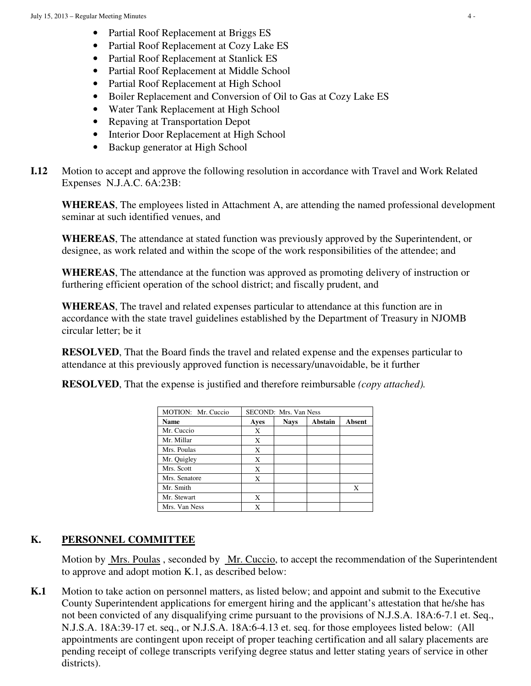- Partial Roof Replacement at Briggs ES
- Partial Roof Replacement at Cozy Lake ES
- Partial Roof Replacement at Stanlick ES
- Partial Roof Replacement at Middle School
- Partial Roof Replacement at High School
- Boiler Replacement and Conversion of Oil to Gas at Cozy Lake ES
- Water Tank Replacement at High School
- Repaving at Transportation Depot
- Interior Door Replacement at High School
- Backup generator at High School

**I.12** Motion to accept and approve the following resolution in accordance with Travel and Work Related Expenses N.J.A.C. 6A:23B:

**WHEREAS**, The employees listed in Attachment A, are attending the named professional development seminar at such identified venues, and

**WHEREAS**, The attendance at stated function was previously approved by the Superintendent, or designee, as work related and within the scope of the work responsibilities of the attendee; and

**WHEREAS**, The attendance at the function was approved as promoting delivery of instruction or furthering efficient operation of the school district; and fiscally prudent, and

**WHEREAS**, The travel and related expenses particular to attendance at this function are in accordance with the state travel guidelines established by the Department of Treasury in NJOMB circular letter; be it

**RESOLVED**, That the Board finds the travel and related expense and the expenses particular to attendance at this previously approved function is necessary/unavoidable, be it further

| <b>MOTION:</b> Mr. Cuccio | SECOND: Mrs. Van Ness |             |         |               |  |  |  |
|---------------------------|-----------------------|-------------|---------|---------------|--|--|--|
| <b>Name</b>               | Aves                  | <b>Nays</b> | Abstain | <b>Absent</b> |  |  |  |
| Mr. Cuccio                | X                     |             |         |               |  |  |  |
| Mr. Millar                | X                     |             |         |               |  |  |  |
| Mrs. Poulas               | X                     |             |         |               |  |  |  |
| Mr. Quigley               | X                     |             |         |               |  |  |  |
| Mrs. Scott                | X                     |             |         |               |  |  |  |
| Mrs. Senatore             | X                     |             |         |               |  |  |  |
| Mr. Smith                 |                       |             |         | X             |  |  |  |
| Mr. Stewart               | X                     |             |         |               |  |  |  |
| Mrs. Van Ness             | X                     |             |         |               |  |  |  |

**RESOLVED**, That the expense is justified and therefore reimbursable *(copy attached).* 

## **K. PERSONNEL COMMITTEE**

Motion by Mrs. Poulas , seconded by Mr. Cuccio, to accept the recommendation of the Superintendent to approve and adopt motion K.1, as described below:

**K.1** Motion to take action on personnel matters, as listed below; and appoint and submit to the Executive County Superintendent applications for emergent hiring and the applicant's attestation that he/she has not been convicted of any disqualifying crime pursuant to the provisions of N.J.S.A. 18A:6-7.1 et. Seq., N.J.S.A. 18A:39-17 et. seq., or N.J.S.A. 18A:6-4.13 et. seq. for those employees listed below: (All appointments are contingent upon receipt of proper teaching certification and all salary placements are pending receipt of college transcripts verifying degree status and letter stating years of service in other districts).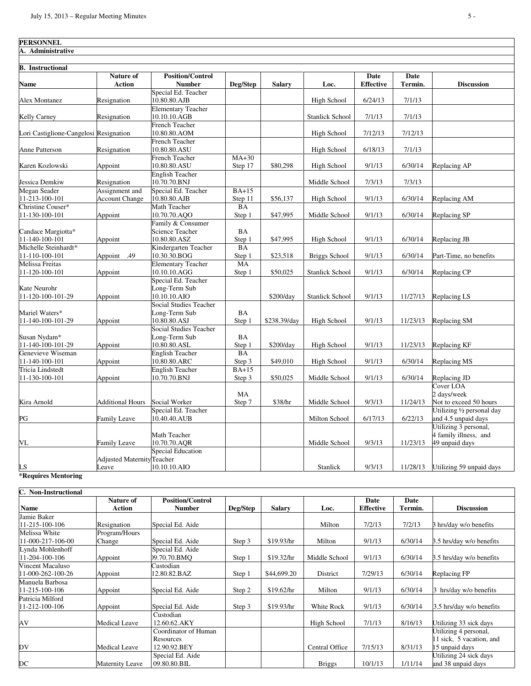| <b>PERSONNEL</b>                       |                                         |                                                         |                     |               |                        |                          |                 |                                                                  |
|----------------------------------------|-----------------------------------------|---------------------------------------------------------|---------------------|---------------|------------------------|--------------------------|-----------------|------------------------------------------------------------------|
| A. Administrative                      |                                         |                                                         |                     |               |                        |                          |                 |                                                                  |
|                                        |                                         |                                                         |                     |               |                        |                          |                 |                                                                  |
| <b>B.</b> Instructional                |                                         |                                                         |                     |               |                        |                          |                 |                                                                  |
| Name                                   | Nature of<br><b>Action</b>              | <b>Position/Control</b><br><b>Number</b>                | Deg/Step            | <b>Salary</b> | Loc.                   | Date<br><b>Effective</b> | Date<br>Termin. | <b>Discussion</b>                                                |
| Alex Montanez                          | Resignation                             | Special Ed. Teacher<br>10.80.80.AJB                     |                     |               | High School            | 6/24/13                  | 7/1/13          |                                                                  |
| Kelly Carney                           | Resignation                             | <b>Elementary Teacher</b><br>10.10.10.AGB               |                     |               | <b>Stanlick School</b> | 7/1/13                   | 7/1/13          |                                                                  |
| Lori Castiglione-Cangelosi Resignation |                                         | French Teacher<br>10.80.80.AOM                          |                     |               | High School            | 7/12/13                  | 7/12/13         |                                                                  |
| <b>Anne Patterson</b>                  | Resignation                             | French Teacher<br>10.80.80.ASU                          |                     |               | High School            | 6/18/13                  | 7/1/13          |                                                                  |
| Karen Kozlowski                        | Appoint                                 | French Teacher<br>10.80.80.ASU                          | $MA+30$<br>Step 17  | \$80,298      | High School            | 9/1/13                   | 6/30/14         | Replacing AP                                                     |
| Jessica Demkiw                         | Resignation                             | <b>English Teacher</b><br>10.70.70.BNJ                  |                     |               | Middle School          | 7/3/13                   | 7/3/13          |                                                                  |
| Megan Seader<br>11-213-100-101         | Assignment and<br><b>Account Change</b> | Special Ed. Teacher<br>10.80.80.AJB                     | $BA+15$<br>Step 11  | \$56,137      | High School            | 9/1/13                   | 6/30/14         | Replacing AM                                                     |
| Christine Couser*<br>11-130-100-101    | Appoint                                 | Math Teacher<br>10.70.70.AOO                            | BA<br>Step 1        | \$47,995      | Middle School          | 9/1/13                   | 6/30/14         | Replacing SP                                                     |
| Candace Margiotta*<br>11-140-100-101   | Appoint                                 | Family & Consumer<br>Science Teacher<br>10.80.80.ASZ    | BA<br>Step 1        | \$47,995      | High School            | 9/1/13                   | 6/30/14         | Replacing JB                                                     |
| Michelle Steinhardt*<br>11-110-100-101 | Appoint<br>.49                          | Kindergarten Teacher<br>10.30.30.BOG                    | <b>BA</b><br>Step 1 | \$23,518      | <b>Briggs School</b>   | 9/1/13                   | 6/30/14         | Part-Time, no benefits                                           |
| Melissa Freitas<br>11-120-100-101      | Appoint                                 | <b>Elementary Teacher</b><br>10.10.10.AGG               | MA<br>Step 1        | \$50,025      | <b>Stanlick School</b> | 9/1/13                   | 6/30/14         | Replacing CP                                                     |
| Kate Neurohr<br>11-120-100-101-29      | Appoint                                 | Special Ed. Teacher<br>Long-Term Sub<br>10.10.10.AIO    |                     | \$200/day     | <b>Stanlick School</b> | 9/1/13                   | 11/27/13        | Replacing LS                                                     |
| Mariel Waters*<br>11-140-100-101-29    | Appoint                                 | Social Studies Teacher<br>Long-Term Sub<br>10.80.80.ASJ | BA<br>Step 1        | \$238.39/day  | High School            | 9/1/13                   | 11/23/13        | Replacing SM                                                     |
| Susan Nydam*<br>11-140-100-101-29      | Appoint                                 | Social Studies Teacher<br>Long-Term Sub<br>10.80.80.ASL | BA<br>Step 1        | \$200/day     | High School            | 9/1/13                   | 11/23/13        | Replacing KF                                                     |
| Genevieve Wiseman<br>11-140-100-101    | Appoint                                 | <b>English Teacher</b><br>10.80.80.ARC                  | <b>BA</b><br>Step 3 | \$49,010      | <b>High School</b>     | 9/1/13                   | 6/30/14         | Replacing MS                                                     |
| Tricia Lindstedt<br>11-130-100-101     | Appoint                                 | <b>English Teacher</b><br>10.70.70.BNJ                  | $BA+15$<br>Step 3   | \$50,025      | Middle School          | 9/1/13                   | 6/30/14         | Replacing JD                                                     |
| Kira Arnold                            | <b>Additional Hours</b>                 | Social Worker                                           | MA<br>Step 7        | \$38/hr       | Middle School          | 9/3/13                   | 11/24/13        | Cover LOA<br>2 days/week<br>Not to exceed 50 hours               |
| PG                                     | Family Leave                            | Special Ed. Teacher<br>10.40.40.AUB                     |                     |               | Milton School          | 6/17/13                  | 6/22/13         | Utilizing 1/2 personal day<br>and 4.5 unpaid days                |
| VL                                     | <b>Family Leave</b>                     | Math Teacher<br>10.70.70.AOR                            |                     |               | Middle School          | 9/3/13                   | 11/23/13        | Utilizing 3 personal,<br>4 family illness, and<br>49 unpaid days |
|                                        | <b>Adjusted MaternityTeacher</b>        | <b>Special Education</b>                                |                     |               |                        |                          |                 |                                                                  |
| <b>LS</b>                              | Leave                                   | 10.10.10.AIO                                            |                     |               | Stanlick               | 9/3/13                   | 11/28/13        | Utilizing 59 unpaid days                                         |

#### **\*Requires Mentoring**

| C. Non-Instructional |                            |                                          |          |               |                |                          |                 |                          |
|----------------------|----------------------------|------------------------------------------|----------|---------------|----------------|--------------------------|-----------------|--------------------------|
| Name                 | <b>Nature of</b><br>Action | <b>Position/Control</b><br><b>Number</b> | Deg/Step | <b>Salary</b> | Loc.           | Date<br><b>Effective</b> | Date<br>Termin. | <b>Discussion</b>        |
| Jamie Baker          |                            |                                          |          |               |                |                          |                 |                          |
| 11-215-100-106       | Resignation                | Special Ed. Aide                         |          |               | Milton         | 7/2/13                   | 7/2/13          | 3 hrs/day w/o benefits   |
| Melissa White        | Program/Hours              |                                          |          |               |                |                          |                 |                          |
| 11-000-217-106-00    | Change                     | Special Ed. Aide                         | Step 3   | \$19.93/hr    | Milton         | 9/1/13                   | 6/30/14         | 3.5 hrs/day w/o benefits |
| Lynda Mohlenhoff     |                            | Special Ed. Aide                         |          |               |                |                          |                 |                          |
| 11-204-100-106       | Appoint                    | 09.70.70.BMO                             | Step 1   | \$19.32/hr    | Middle School  | 9/1/13                   | 6/30/14         | 3.5 hrs/day w/o benefits |
| Vincent Macaluso     |                            | Custodian                                |          |               |                |                          |                 |                          |
| 11-000-262-100-26    | Appoint                    | 12.80.82.BAZ                             | Step 1   | \$44,699.20   | District       | 7/29/13                  | 6/30/14         | Replacing FP             |
| Manuela Barbosa      |                            |                                          |          |               |                |                          |                 |                          |
| 11-215-100-106       | Appoint                    | Special Ed. Aide                         | Step 2   | \$19.62/hr    | Milton         | 9/1/13                   | 6/30/14         | hrs/day w/o benefits     |
| Patricia Milford     |                            |                                          |          |               |                |                          |                 |                          |
| 11-212-100-106       | Appoint                    | Special Ed. Aide                         | Step 3   | \$19.93/hr    | White Rock     | 9/1/13                   | 6/30/14         | 3.5 hrs/day w/o benefits |
|                      |                            | Custodian                                |          |               |                |                          |                 |                          |
| AV                   | Medical Leave              | 12.60.62.AKY                             |          |               | High School    | 7/1/13                   | 8/16/13         | Utilizing 33 sick days   |
|                      |                            | Coordinator of Human                     |          |               |                |                          |                 | Utilizing 4 personal,    |
|                      |                            | Resources                                |          |               |                |                          |                 | 1 sick, 5 vacation, and  |
| DV                   | Medical Leave              | 12.90.92.BEY                             |          |               | Central Office | 7/15/13                  | 8/31/13         | 15 unpaid days           |
|                      |                            | Special Ed. Aide                         |          |               |                |                          |                 | Utilizing 24 sick days   |
| DC                   | Maternity Leave            | 09.80.80.BIL                             |          |               | <b>Briggs</b>  | 10/1/13                  | 1/11/14         | and 38 unpaid days       |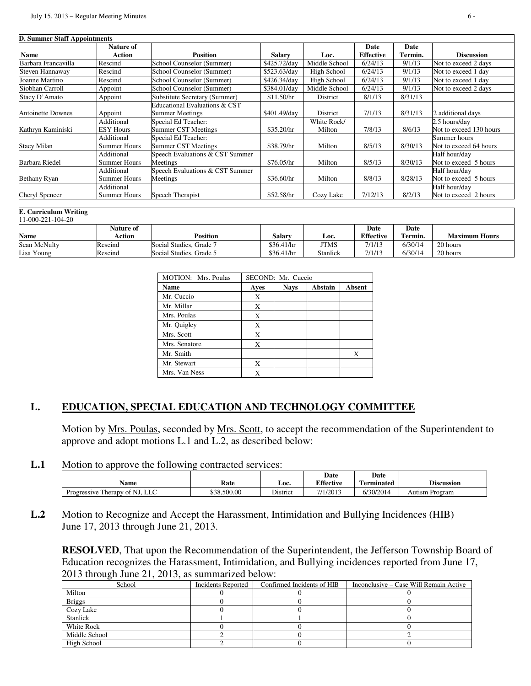|                          | <b>Nature of</b>                  |                                                   |               |                       | Date             | Date    |                                          |
|--------------------------|-----------------------------------|---------------------------------------------------|---------------|-----------------------|------------------|---------|------------------------------------------|
| Name                     | Action                            | <b>Position</b>                                   | <b>Salary</b> | Loc.                  | <b>Effective</b> | Termin. | <b>Discussion</b>                        |
| Barbara Francavilla      | Rescind                           | School Counselor (Summer)                         | \$425.72/day  | Middle School         | 6/24/13          | 9/1/13  | Not to exceed 2 days                     |
| Steven Hannaway          | Rescind                           | School Counselor (Summer)                         | \$523.63/day  | High School           | 6/24/13          | 9/1/13  | Not to exceed 1 day                      |
| Joanne Martino           | Rescind                           | School Counselor (Summer)                         | \$426.34/day  | High School           | 6/24/13          | 9/1/13  | Not to exceed 1 day                      |
| Siobhan Carroll          | Appoint                           | School Counselor (Summer)                         | \$384.01/day  | Middle School         | 6/24/13          | 9/1/13  | Not to exceed 2 days                     |
| Stacy D'Amato            | Appoint                           | Substitute Secretary (Summer)                     | \$11.50/hr    | District              | 8/1/13           | 8/31/13 |                                          |
| <b>Antoinette Downes</b> | Appoint                           | Educational Evaluations & CST<br>Summer Meetings  | \$401.49/day  | District              | 7/1/13           | 8/31/13 | 2 additional days                        |
| Kathryn Kaminiski        | Additional<br><b>ESY Hours</b>    | Special Ed Teacher:<br><b>Summer CST Meetings</b> | \$35.20/hr    | White Rock/<br>Milton | 7/8/13           | 8/6/13  | 2.5 hours/day<br>Not to exceed 130 hours |
| Stacy Milan              | Additional<br>Summer Hours        | Special Ed Teacher:<br><b>Summer CST Meetings</b> | \$38.79/hr    | Milton                | 8/5/13           | 8/30/13 | Summer hours<br>Not to exceed 64 hours   |
| Barbara Riedel           | Additional<br>Summer Hours        | Speech Evaluations & CST Summer<br>Meetings       | \$76.05/hr    | Milton                | 8/5/13           | 8/30/13 | Half hour/day<br>Not to exceed 5 hours   |
| Bethany Ryan             | Additional<br><b>Summer Hours</b> | Speech Evaluations & CST Summer<br>Meetings       | \$36.60/hr    | Milton                | 8/8/13           | 8/28/13 | Half hour/day<br>Not to exceed 5 hours   |
| Cheryl Spencer           | Additional<br><b>Summer Hours</b> | Speech Therapist                                  | \$52.58/hr    | Cozy Lake             | 7/12/13          | 8/2/13  | Half hour/day<br>Not to exceed 2 hours   |

| $11-000-221-104-20$ |                  |                         |               |          |                  |         |                      |  |  |  |  |
|---------------------|------------------|-------------------------|---------------|----------|------------------|---------|----------------------|--|--|--|--|
|                     | <b>Nature of</b> |                         |               |          | Date             | Date    |                      |  |  |  |  |
| <b>Name</b>         | Action           | Position                | <b>Salary</b> | Loc.     | <b>Effective</b> | Termin. | <b>Maximum Hours</b> |  |  |  |  |
| Sean McNulty        | Rescind          | Social Studies, Grade 7 | \$36.41/hr    | JTMS     | 7/1/13           | 6/30/14 | 20 hours             |  |  |  |  |
| Lisa Young          | Rescind          | Social Studies, Grade 5 | \$36.41/hr    | Stanlick | 7/1/13           | 6/30/14 | 20 hours             |  |  |  |  |

| <b>MOTION:</b> Mrs. Poulas | SECOND: Mr. Cuccio |             |         |        |  |  |  |  |
|----------------------------|--------------------|-------------|---------|--------|--|--|--|--|
| <b>Name</b>                | Ayes               | <b>Nays</b> | Abstain | Absent |  |  |  |  |
| Mr. Cuccio                 | X                  |             |         |        |  |  |  |  |
| Mr. Millar                 | X                  |             |         |        |  |  |  |  |
| Mrs. Poulas                | X                  |             |         |        |  |  |  |  |
| Mr. Quigley                | X                  |             |         |        |  |  |  |  |
| Mrs. Scott                 | X                  |             |         |        |  |  |  |  |
| Mrs. Senatore              | X                  |             |         |        |  |  |  |  |
| Mr. Smith                  |                    |             |         | X      |  |  |  |  |
| Mr. Stewart                | X                  |             |         |        |  |  |  |  |
| Mrs. Van Ness              | X                  |             |         |        |  |  |  |  |

## **L. EDUCATION, SPECIAL EDUCATION AND TECHNOLOGY COMMITTEE**

 Motion by Mrs. Poulas, seconded by Mrs. Scott, to accept the recommendation of the Superintendent to approve and adopt motions L.1 and L.2, as described below:

**L.1** Motion to approve the following contracted services:

| Name                           | Rate        | Loc.     | <b>Date</b><br><b>Effective</b> | Date<br>m<br>l'erminated | <b>Discussion</b> |  |
|--------------------------------|-------------|----------|---------------------------------|--------------------------|-------------------|--|
| Progressive Therapy of NJ, LLC | \$38,500.00 | District | 7/1/2013                        | 6/30/2014                | Autism Program    |  |

**L.2** Motion to Recognize and Accept the Harassment, Intimidation and Bullying Incidences (HIB) June 17, 2013 through June 21, 2013.

**RESOLVED**, That upon the Recommendation of the Superintendent, the Jefferson Township Board of Education recognizes the Harassment, Intimidation, and Bullying incidences reported from June 17, 2013 through June 21, 2013, as summarized below:

| School            | Incidents Reported | Confirmed Incidents of HIB | Inconclusive – Case Will Remain Active |
|-------------------|--------------------|----------------------------|----------------------------------------|
| Milton            |                    |                            |                                        |
| <b>Briggs</b>     |                    |                            |                                        |
| Cozy Lake         |                    |                            |                                        |
| Stanlick          |                    |                            |                                        |
| <b>White Rock</b> |                    |                            |                                        |
| Middle School     |                    |                            |                                        |
| High School       |                    |                            |                                        |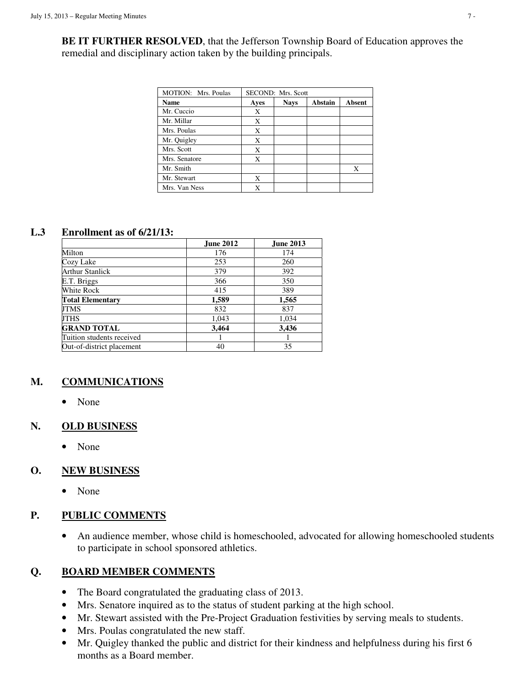**BE IT FURTHER RESOLVED**, that the Jefferson Township Board of Education approves the remedial and disciplinary action taken by the building principals.

| <b>MOTION:</b> Mrs. Poulas | <b>SECOND: Mrs. Scott</b> |             |         |        |  |  |  |  |  |
|----------------------------|---------------------------|-------------|---------|--------|--|--|--|--|--|
| <b>Name</b>                | Ayes                      | <b>Nays</b> | Abstain | Absent |  |  |  |  |  |
| Mr. Cuccio                 | X                         |             |         |        |  |  |  |  |  |
| Mr. Millar                 | X                         |             |         |        |  |  |  |  |  |
| Mrs. Poulas                | X                         |             |         |        |  |  |  |  |  |
| Mr. Quigley                | X                         |             |         |        |  |  |  |  |  |
| Mrs. Scott                 | X                         |             |         |        |  |  |  |  |  |
| Mrs. Senatore              | X                         |             |         |        |  |  |  |  |  |
| Mr. Smith                  |                           |             |         | X      |  |  |  |  |  |
| Mr. Stewart                | X                         |             |         |        |  |  |  |  |  |
| Mrs. Van Ness              | X                         |             |         |        |  |  |  |  |  |

### **L.3 Enrollment as of 6/21/13:**

|                           | <b>June 2012</b> | <b>June 2013</b> |
|---------------------------|------------------|------------------|
| Milton                    | 176              | 174              |
| Cozy Lake                 | 253              | 260              |
| Arthur Stanlick           | 379              | 392              |
| E.T. Briggs               | 366              | 350              |
| White Rock                | 415              | 389              |
| <b>Total Elementary</b>   | 1,589            | 1,565            |
| JTMS                      | 832              | 837              |
| JTHS                      | 1,043            | 1,034            |
| <b>GRAND TOTAL</b>        | 3,464            | 3,436            |
| Tuition students received |                  |                  |
| Out-of-district placement | 40               | 35               |

## **M. COMMUNICATIONS**

• None

## **N. OLD BUSINESS**

• None

## **O. NEW BUSINESS**

• None

# **P. PUBLIC COMMENTS**

• An audience member, whose child is homeschooled, advocated for allowing homeschooled students to participate in school sponsored athletics.

# **Q. BOARD MEMBER COMMENTS**

- The Board congratulated the graduating class of 2013.
- Mrs. Senatore inquired as to the status of student parking at the high school.
- Mr. Stewart assisted with the Pre-Project Graduation festivities by serving meals to students.
- Mrs. Poulas congratulated the new staff.
- Mr. Quigley thanked the public and district for their kindness and helpfulness during his first 6 months as a Board member.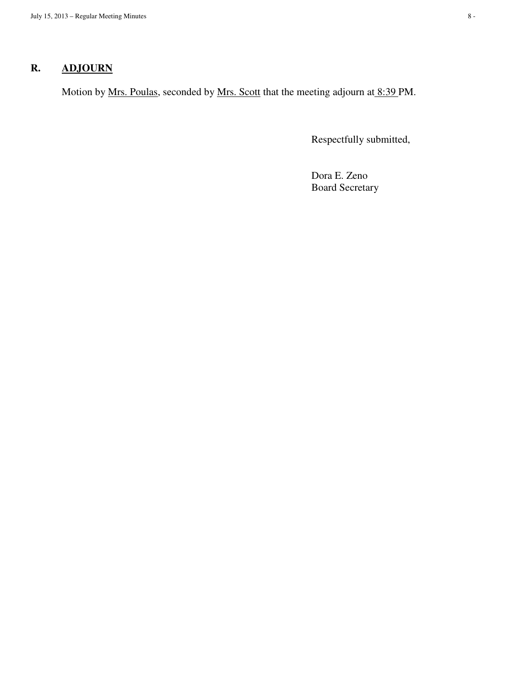# **R. ADJOURN**

Motion by <u>Mrs. Poulas</u>, seconded by <u>Mrs. Scott</u> that the meeting adjourn at 8:39 PM.

Respectfully submitted,

 Dora E. Zeno Board Secretary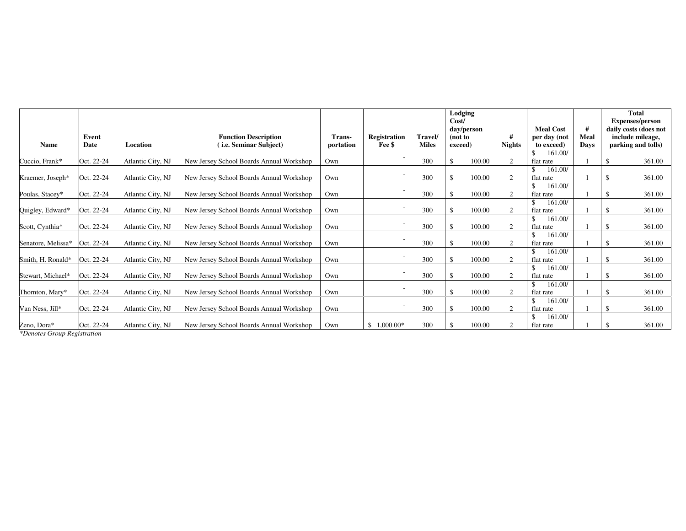|                    | Event      |                   | <b>Function Description</b>              | Trans-    | <b>Registration</b><br><b>Travel/</b> |              | Lodging<br>Cost/<br>(not to | day/person | #              | <b>Meal Cost</b><br>per day (not | #<br>Meal   | <b>Total</b><br><b>Expenses/person</b><br>daily costs (does not<br>include mileage, |
|--------------------|------------|-------------------|------------------------------------------|-----------|---------------------------------------|--------------|-----------------------------|------------|----------------|----------------------------------|-------------|-------------------------------------------------------------------------------------|
| <b>Name</b>        | Date       | Location          | (i.e. Seminar Subject)                   | portation | Fee \$                                | <b>Miles</b> | exceed)                     |            | <b>Nights</b>  | to exceed)                       | <b>Davs</b> | parking and tolls)                                                                  |
| Cuccio, Frank*     | Oct. 22-24 | Atlantic City, NJ | New Jersey School Boards Annual Workshop | Own       |                                       | 300          |                             | 100.00     | $\gamma$       | 161.00/<br>flat rate             |             | 361.00                                                                              |
| Kraemer, Joseph*   | Oct. 22-24 | Atlantic City, NJ | New Jersey School Boards Annual Workshop | Own       |                                       | 300          |                             | 100.00     |                | 161.00/<br>\$<br>flat rate       |             | 361.00                                                                              |
| Poulas, Stacey*    | Oct. 22-24 | Atlantic City, NJ | New Jersey School Boards Annual Workshop | Own       |                                       | 300          |                             | 100.00     | $\gamma$       | 161.00/<br>- \$<br>flat rate     |             | 361.00                                                                              |
| Quigley, Edward*   | Oct. 22-24 | Atlantic City, NJ | New Jersey School Boards Annual Workshop | Own       |                                       | 300          |                             | 100.00     | $\overline{2}$ | 161.00/<br>flat rate             |             | 361.00                                                                              |
| Scott, Cynthia*    | Oct. 22-24 | Atlantic City, NJ | New Jersey School Boards Annual Workshop | Own       |                                       | 300          |                             | 100.00     | 2              | 161.00/<br>flat rate             |             | 361.00                                                                              |
| Senatore, Melissa* | Oct. 22-24 | Atlantic City, NJ | New Jersey School Boards Annual Workshop | Own       |                                       | 300          |                             | 100.00     |                | 161.00/<br>flat rate             |             | 361.00                                                                              |
| Smith, H. Ronald*  | Oct. 22-24 | Atlantic City, NJ | New Jersey School Boards Annual Workshop | Own       |                                       | 300          |                             | 100.00     | $\gamma$       | 161.00/<br>flat rate             |             | 361.00                                                                              |
| Stewart, Michael*  | Oct. 22-24 | Atlantic City, NJ | New Jersey School Boards Annual Workshop | Own       |                                       | 300          |                             | 100.00     | 2              | 161.00/<br>flat rate             |             | 361.00                                                                              |
| Thornton, Mary*    | Oct. 22-24 | Atlantic City, NJ | New Jersey School Boards Annual Workshop | Own       |                                       | 300          |                             | 100.00     | $\overline{2}$ | 161.00/<br>flat rate             |             | 361.00                                                                              |
| Van Ness, Jill*    | Oct. 22-24 | Atlantic City, NJ | New Jersey School Boards Annual Workshop | Own       |                                       | 300          |                             | 100.00     |                | 161.00/<br>flat rate             |             | 361.00                                                                              |
| Zeno, Dora*        | Oct. 22-24 | Atlantic City, NJ | New Jersey School Boards Annual Workshop | Own       | $1.000.00*$<br>\$.                    | 300          |                             | 100.00     |                | 161.00/<br>flat rate             |             | 361.00                                                                              |

*\*Denotes Group Registration*